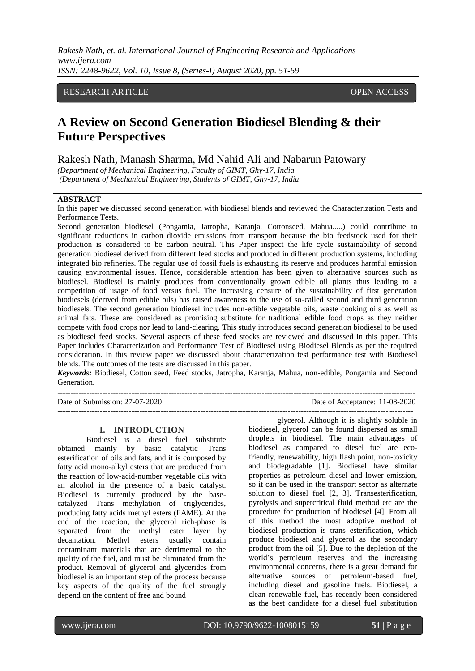# RESEARCH ARTICLE OPEN ACCESS

# **A Review on Second Generation Biodiesel Blending & their Future Perspectives**

Rakesh Nath, Manash Sharma, Md Nahid Ali and Nabarun Patowary

*(Department of Mechanical Engineering, Faculty of GIMT, Ghy-17, India (Department of Mechanical Engineering, Students of GIMT, Ghy-17, India*

#### **ABSTRACT**

In this paper we discussed second generation with biodiesel blends and reviewed the Characterization Tests and Performance Tests.

Second generation biodiesel (Pongamia, Jatropha, Karanja, Cottonseed, Mahua.....) could contribute to significant reductions in carbon dioxide emissions from transport because the bio feedstock used for their production is considered to be carbon neutral. This Paper inspect the life cycle sustainability of second generation biodiesel derived from different feed stocks and produced in different production systems, including integrated bio refineries. The regular use of fossil fuels is exhausting its reserve and produces harmful emission causing environmental issues. Hence, considerable attention has been given to alternative sources such as biodiesel. Biodiesel is mainly produces from conventionally grown edible oil plants thus leading to a competition of usage of food versus fuel. The increasing censure of the sustainability of first generation biodiesels (derived from edible oils) has raised awareness to the use of so-called second and third generation biodiesels. The second generation biodiesel includes non-edible vegetable oils, waste cooking oils as well as animal fats. These are considered as promising substitute for traditional edible food crops as they neither compete with food crops nor lead to land-clearing. This study introduces second generation biodiesel to be used as biodiesel feed stocks. Several aspects of these feed stocks are reviewed and discussed in this paper. This Paper includes Characterization and Performance Test of Biodiesel using Biodiesel Blends as per the required consideration. In this review paper we discussed about characterization test performance test with Biodiesel blends. The outcomes of the tests are discussed in this paper.

*Keywords:* Biodiesel, Cotton seed, Feed stocks, Jatropha, Karanja, Mahua, non-edible, Pongamia and Second Generation.

---------------------------------------------------------------------------------------------------------------------------------------

Date of Submission: 27-07-2020 Date of Acceptance: 11-08-2020  $-1-\frac{1}{2}$ 

#### **I. INTRODUCTION**

Biodiesel is a diesel fuel substitute obtained mainly by basic catalytic Trans esterification of oils and fats, and it is composed by fatty acid mono-alkyl esters that are produced from the reaction of low-acid-number vegetable oils with an alcohol in the presence of a basic catalyst. Biodiesel is currently produced by the basecatalyzed Trans methylation of triglycerides, producing fatty acids methyl esters (FAME). At the end of the reaction, the glycerol rich-phase is separated from the methyl ester layer by decantation. Methyl esters usually contain contaminant materials that are detrimental to the quality of the fuel, and must be eliminated from the product. Removal of glycerol and glycerides from biodiesel is an important step of the process because key aspects of the quality of the fuel strongly depend on the content of free and bound

glycerol. Although it is slightly soluble in biodiesel, glycerol can be found dispersed as small droplets in biodiesel. The main advantages of biodiesel as compared to diesel fuel are ecofriendly, renewability, high flash point, non-toxicity and biodegradable [1]. Biodiesel have similar properties as petroleum diesel and lower emission, so it can be used in the transport sector as alternate solution to diesel fuel [2, 3]. Transesterification, pyrolysis and supercritical fluid method etc are the procedure for production of biodiesel [4]. From all of this method the most adoptive method of biodiesel production is trans esterification, which produce biodiesel and glycerol as the secondary product from the oil [5]. Due to the depletion of the world's petroleum reserves and the increasing environmental concerns, there is a great demand for alternative sources of petroleum-based fuel, including diesel and gasoline fuels. Biodiesel, a clean renewable fuel, has recently been considered as the best candidate for a diesel fuel substitution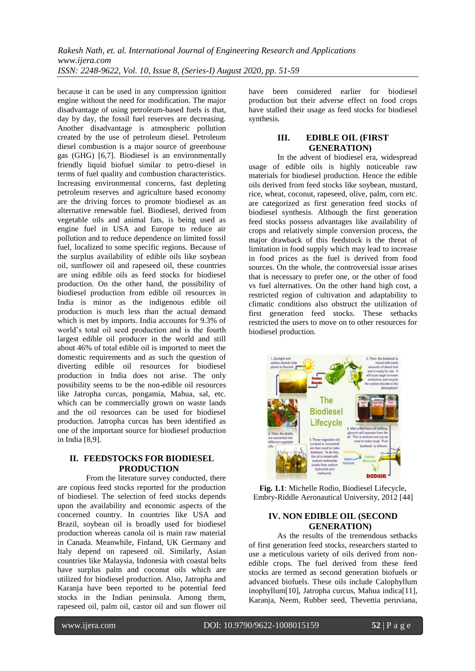because it can be used in any compression ignition engine without the need for modification. The major disadvantage of using petroleum-based fuels is that, day by day, the fossil fuel reserves are decreasing. Another disadvantage is atmospheric pollution created by the use of petroleum diesel. Petroleum diesel combustion is a major source of greenhouse gas (GHG) [6,7]. Biodiesel is an environmentally friendly liquid biofuel similar to petro-diesel in terms of fuel quality and combustion characteristics. Increasing environmental concerns, fast depleting petroleum reserves and agriculture based economy are the driving forces to promote biodiesel as an alternative renewable fuel. Biodiesel, derived from vegetable oils and animal fats, is being used as engine fuel in USA and Europe to reduce air pollution and to reduce dependence on limited fossil fuel, localized to some specific regions. Because of the surplus availability of edible oils like soybean oil, sunflower oil and rapeseed oil, these countries are using edible oils as feed stocks for biodiesel production. On the other hand, the possibility of biodiesel production from edible oil resources in India is minor as the indigenous edible oil production is much less than the actual demand which is met by imports. India accounts for 9.3% of world's total oil seed production and is the fourth largest edible oil producer in the world and still about 46% of total edible oil is imported to meet the domestic requirements and as such the question of diverting edible oil resources for biodiesel production in India does not arise. The only possibility seems to be the non-edible oil resources like Jatropha curcas, pongamia, Mahua, sal, etc. which can be commercially grown on waste lands and the oil resources can be used for biodiesel production. Jatropha curcas has been identified as one of the important source for biodiesel production in India [8,9].

# **II. FEEDSTOCKS FOR BIODIESEL PRODUCTION**

From the literature survey conducted, there are copious feed stocks reported for the production of biodiesel. The selection of feed stocks depends upon the availability and economic aspects of the concerned country. In countries like USA and Brazil, soybean oil is broadly used for biodiesel production whereas canola oil is main raw material in Canada. Meanwhile, Finland, UK Germany and Italy depend on rapeseed oil. Similarly, Asian countries like Malaysia, Indonesia with coastal belts have surplus palm and coconut oils which are utilized for biodiesel production. Also, Jatropha and Karanja have been reported to be potential feed stocks in the Indian peninsula. Among them, rapeseed oil, palm oil, castor oil and sun flower oil have been considered earlier for biodiesel production but their adverse effect on food crops have stalled their usage as feed stocks for biodiesel synthesis.

# **III. EDIBLE OIL (FIRST GENERATION)**

In the advent of biodiesel era, widespread usage of edible oils is highly noticeable raw materials for biodiesel production. Hence the edible oils derived from feed stocks like soybean, mustard, rice, wheat, coconut, rapeseed, olive, palm, corn etc. are categorized as first generation feed stocks of biodiesel synthesis. Although the first generation feed stocks possess advantages like availability of crops and relatively simple conversion process, the major drawback of this feedstock is the threat of limitation in food supply which may lead to increase in food prices as the fuel is derived from food sources. On the whole, the controversial issue arises that is necessary to prefer one, or the other of food vs fuel alternatives. On the other hand high cost, a restricted region of cultivation and adaptability to climatic conditions also obstruct the utilization of first generation feed stocks. These setbacks restricted the users to move on to other resources for biodiesel production.



**Fig. 1.1**: Michelle Rodio, Biodiesel Lifecycle, Embry-Riddle Aeronautical University, 2012 [44]

# **IV. NON EDIBLE OIL (SECOND GENERATION)**

As the results of the tremendous setbacks of first generation feed stocks, researchers started to use a meticulous variety of oils derived from nonedible crops. The fuel derived from these feed stocks are termed as second generation biofuels or advanced biofuels. These oils include Calophyllum inophyllum[10], Jatropha curcus, Mahua indica[11], Karanja, Neem, Rubber seed, Thevettia peruviana,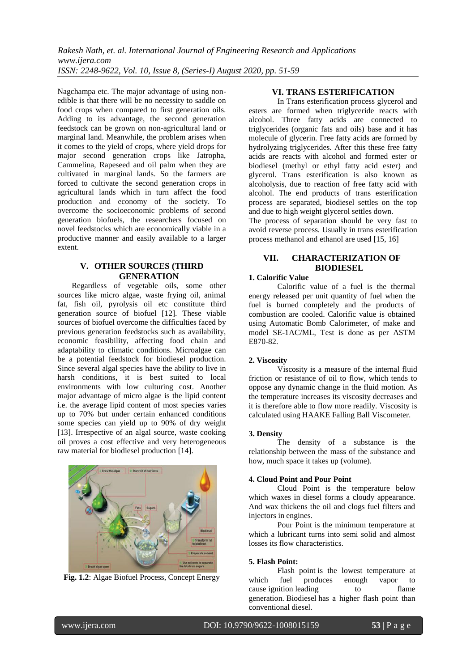Nagchampa etc. The major advantage of using nonedible is that there will be no necessity to saddle on food crops when compared to first generation oils. Adding to its advantage, the second generation feedstock can be grown on non-agricultural land or marginal land. Meanwhile, the problem arises when it comes to the yield of crops, where yield drops for major second generation crops like Jatropha, Cammelina, Rapeseed and oil palm when they are cultivated in marginal lands. So the farmers are forced to cultivate the second generation crops in agricultural lands which in turn affect the food production and economy of the society. To overcome the socioeconomic problems of second generation biofuels, the researchers focused on novel feedstocks which are economically viable in a productive manner and easily available to a larger extent.

# **V. OTHER SOURCES (THIRD GENERATION**

Regardless of vegetable oils, some other sources like micro algae, waste frying oil, animal fat, fish oil, pyrolysis oil etc constitute third generation source of biofuel [12]. These viable sources of biofuel overcome the difficulties faced by previous generation feedstocks such as availability, economic feasibility, affecting food chain and adaptability to climatic conditions. Microalgae can be a potential feedstock for biodiesel production. Since several algal species have the ability to live in harsh conditions, it is best suited to local environments with low culturing cost. Another major advantage of micro algae is the lipid content i.e. the average lipid content of most species varies up to 70% but under certain enhanced conditions some species can yield up to 90% of dry weight [13]. Irrespective of an algal source, waste cooking oil proves a cost effective and very heterogeneous raw material for biodiesel production [14].



**Fig. 1.2**: Algae Biofuel Process, Concept Energy

# **VI. TRANS ESTERIFICATION**

In Trans esterification process glycerol and esters are formed when triglyceride reacts with alcohol. Three fatty acids are connected to triglycerides (organic fats and oils) base and it has molecule of glycerin. Free fatty acids are formed by hydrolyzing triglycerides. After this these free fatty acids are reacts with alcohol and formed ester or biodiesel (methyl or ethyl fatty acid ester) and glycerol. Trans esterification is also known as alcoholysis, due to reaction of free fatty acid with alcohol. The end products of trans esterification process are separated, biodiesel settles on the top and due to high weight glycerol settles down.

The process of separation should be very fast to avoid reverse process. Usually in trans esterification process methanol and ethanol are used [15, 16]

# **VII. CHARACTERIZATION OF BIODIESEL**

## **1. Calorific Value**

Calorific value of a fuel is the thermal energy released per unit quantity of fuel when the fuel is burned completely and the products of combustion are cooled. Calorific value is obtained using Automatic Bomb Calorimeter, of make and model SE-1AC/ML, Test is done as per ASTM E870-82.

#### **2. Viscosity**

Viscosity is a measure of the internal fluid friction or resistance of oil to flow, which tends to oppose any dynamic change in the fluid motion. As the temperature increases its viscosity decreases and it is therefore able to flow more readily. Viscosity is calculated using HAAKE Falling Ball Viscometer.

### **3. Density**

The density of a substance is the relationship between the mass of the substance and how, much space it takes up (volume).

## **4. Cloud Point and Pour Point**

Cloud Point is the temperature below which waxes in diesel forms a cloudy appearance. And wax thickens the oil and clogs fuel filters and injectors in engines.

Pour Point is the minimum temperature at which a lubricant turns into semi solid and almost losses its flow characteristics.

## **5. Flash Point:**

Flash point is the lowest temperature at which fuel produces enough vapor to cause ignition leading to flame generation. Biodiesel has a higher flash point than conventional diesel.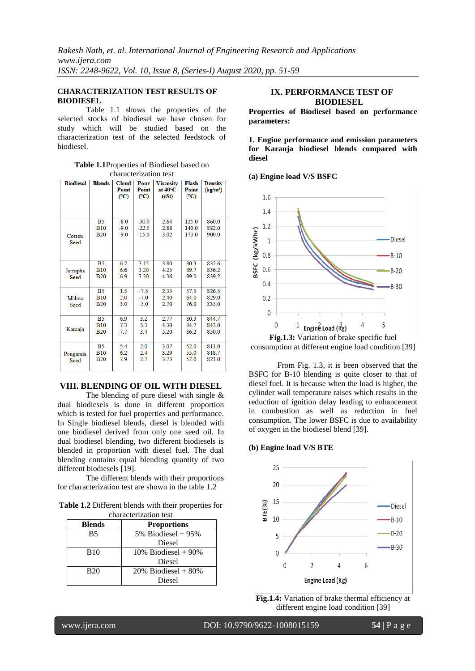## **CHARACTERIZATION TEST RESULTS OF BIODIESEL**

Table 1.1 shows the properties of the selected stocks of biodiesel we have chosen for study which will be studied based on the characterization test of the selected feedstock of biodiesel.

**Table 1.1**Properties of Biodiesel based on characterization test

| <b>Biodiesel</b> | <b>Blends</b>  | <b>Cloud</b><br>Point<br>(C) | Pour<br>Point<br>(C) | <b>Viscosity</b><br>at $40^{\circ}$ C<br>(cSt) | Flash<br>Point<br>(C) | <b>Density</b><br>$(kg/m^3)$ |
|------------------|----------------|------------------------------|----------------------|------------------------------------------------|-----------------------|------------------------------|
|                  | B <sub>5</sub> | $-8.0$                       | $-30.0$              | 2.64                                           | 125.0                 | 860.0                        |
|                  | <b>B10</b>     | $-9.0$                       | $-22.5$              | 2.88                                           | 140.0                 | 882.0                        |
| Cotton<br>Seed   | <b>B20</b>     | $-9.0$                       | $-15.0$              | 3.02                                           | 173.0                 | 900.0                        |
|                  | <b>B5</b>      | 6.2                          | 3.15                 | 3.80                                           | 80.3                  | 832.6                        |
| Jatropha         | <b>B10</b>     | 6.6                          | 3.20                 | 4.25                                           | 89.7                  | 836.2                        |
| Seed             | <b>B20</b>     | 6.9                          | 3.30                 | 4.36                                           | 99.0                  | 839.2                        |
|                  | B <sub>5</sub> | 1.5                          | $-7.5$               | 2.35                                           | 57.5                  | 826.5                        |
| Mahua            | <b>B10</b>     | 2.0                          | $-7.0$               | 2.40                                           | 64.0                  | 829.0                        |
| Seed             | <b>B20</b>     | 3.0                          | $-5.0$               | 2.70                                           | 76.0                  | 835.0                        |
|                  | B <sub>5</sub> | 6.9                          | 3.2                  | 2.77                                           | 80.3                  | 844.7                        |
|                  | <b>B10</b>     | 7.3                          | 3.3                  | 4.30                                           | 84.7                  | 843.0                        |
| Karanja          | <b>B20</b>     | 7.7                          | 3.4                  | 5.20                                           | 86.2                  | 850.0                        |
|                  | <b>B5</b>      | 5.4                          | 2.0                  | 3.07                                           | 52.0                  | 811.0                        |
| Pongamia         | <b>B10</b>     | 6.2                          | 2.4                  | 3.29                                           | 55.0                  | 818.7                        |
| Seed             | <b>B20</b>     | 7.9                          | 2.7                  | 3.73                                           | 57.0                  | 821.0                        |

# **VIII. BLENDING OF OIL WITH DIESEL**

The blending of pure diesel with single & dual biodiesels is done in different proportion which is tested for fuel properties and performance. In Single biodiesel blends, diesel is blended with one biodiesel derived from only one seed oil. In dual biodiesel blending, two different biodiesels is blended in proportion with diesel fuel. The dual blending contains equal blending quantity of two different biodiesels [19].

The different blends with their proportions for characterization test are shown in the table 1.2

**Table 1.2** Different blends with their properties for characterization test

| <b>Blends</b> | <b>Proportions</b>      |
|---------------|-------------------------|
| <b>B5</b>     | 5% Biodiesel + $95%$    |
|               | Diesel                  |
| <b>B</b> 10   | $10\%$ Biodiesel + 90%  |
|               | Diesel                  |
| <b>B20</b>    | $20\%$ Biodiesel + 80\% |
|               | Diesel                  |

## **IX. PERFORMANCE TEST OF BIODIESEL**

**Properties of Biodiesel based on performance parameters:**

**1. Engine performance and emission parameters for Karanja biodiesel blends compared with diesel**

**(a) Engine load V/S BSFC**



From Fig. 1.3, it is been observed that the BSFC for B-10 blending is quite closer to that of diesel fuel. It is because when the load is higher, the cylinder wall temperature raises which results in the reduction of ignition delay leading to enhancement in combustion as well as reduction in fuel consumption. The lower BSFC is due to availability of oxygen in the biodiesel blend [39].

### **(b) Engine load V/S BTE**



**Fig.1.4:** Variation of brake thermal efficiency at different engine load condition [39]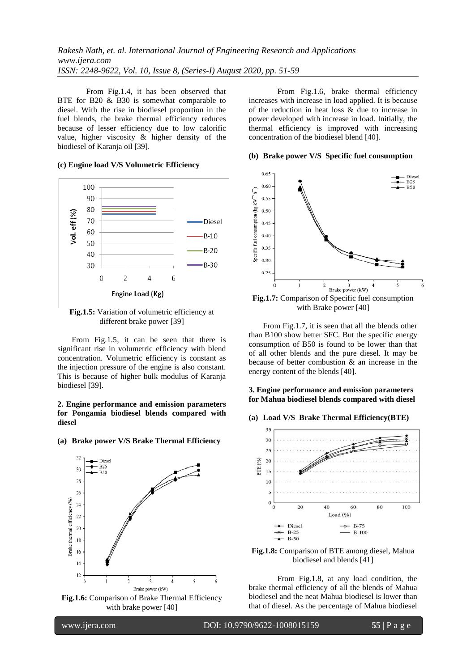From Fig.1.4, it has been observed that BTE for B20 & B30 is somewhat comparable to diesel. With the rise in biodiesel proportion in the fuel blends, the brake thermal efficiency reduces because of lesser efficiency due to low calorific value, higher viscosity & higher density of the biodiesel of Karanja oil [39].

#### **(c) Engine load V/S Volumetric Efficiency**



**Fig.1.5:** Variation of volumetric efficiency at different brake power [39]

From Fig.1.5, it can be seen that there is significant rise in volumetric efficiency with blend concentration. Volumetric efficiency is constant as the injection pressure of the engine is also constant. This is because of higher bulk modulus of Karanja biodiesel [39].

#### **2. Engine performance and emission parameters for Pongamia biodiesel blends compared with diesel**

### **(a) Brake power V/S Brake Thermal Efficiency**



with brake power [40]

From Fig.1.6, brake thermal efficiency increases with increase in load applied. It is because of the reduction in heat loss & due to increase in power developed with increase in load. Initially, the thermal efficiency is improved with increasing concentration of the biodiesel blend [40].

#### **(b) Brake power V/S Specific fuel consumption**



**Fig.1.7:** Comparison of Specific fuel consumption with Brake power [40]

From Fig.1.7, it is seen that all the blends other than B100 show better SFC. But the specific energy consumption of B50 is found to be lower than that of all other blends and the pure diesel. It may be because of better combustion & an increase in the energy content of the blends [40].

## **3. Engine performance and emission parameters for Mahua biodiesel blends compared with diesel**

#### **(a) Load V/S Brake Thermal Efficiency(BTE)**



**Fig.1.8:** Comparison of BTE among diesel, Mahua biodiesel and blends [41]

From Fig.1.8, at any load condition, the brake thermal efficiency of all the blends of Mahua biodiesel and the neat Mahua biodiesel is lower than that of diesel. As the percentage of Mahua biodiesel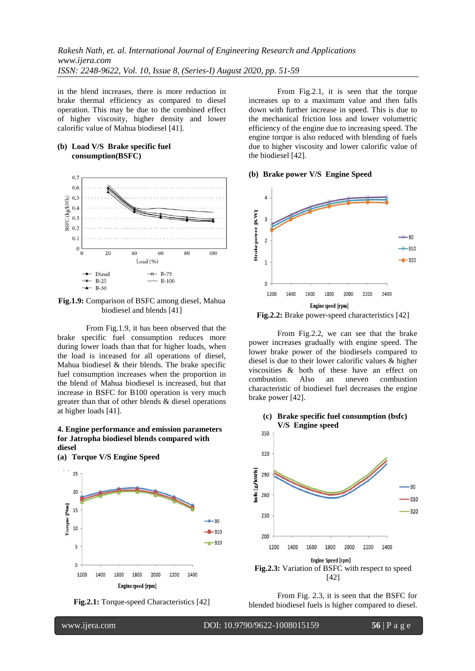in the blend increases, there is more reduction in brake thermal efficiency as compared to diesel operation. This may be due to the combined effect of higher viscosity, higher density and lower calorific value of Mahua biodiesel [41].

### **(b) Load V/S Brake specific fuel consumption(BSFC)**



**Fig.1.9:** Comparison of BSFC among diesel, Mahua biodiesel and blends [41]

From Fig.1.9, it has been observed that the brake specific fuel consumption reduces more during lower loads than that for higher loads, when the load is inceased for all operations of diesel, Mahua biodiesel & their blends. The brake specific fuel consumption increases when the proportion in the blend of Mahua biodiesel is increased, but that increase in BSFC for B100 operation is very much greater than that of other blends & diesel operations at higher loads [41].

#### **4. Engine performance and emission parameters for Jatropha biodiesel blends compared with diesel**





From Fig.2.1, it is seen that the torque increases up to a maximum value and then falls down with further increase in speed. This is due to the mechanical friction loss and lower volumetric efficiency of the engine due to increasing speed. The engine torque is also reduced with blending of fuels due to higher viscosity and lower calorific value of the biodiesel [42].

#### **(b) Brake power V/S Engine Speed**



**Fig.2.2:** Brake power-speed characteristics [42]

From Fig.2.2, we can see that the brake power increases gradually with engine speed. The lower brake power of the biodiesels compared to diesel is due to their lower calorific values & higher viscosities & both of these have an effect on combustion. Also an uneven combustion characteristic of biodiesel fuel decreases the engine brake power [42].



From Fig. 2.3, it is seen that the BSFC for blended biodiesel fuels is higher compared to diesel.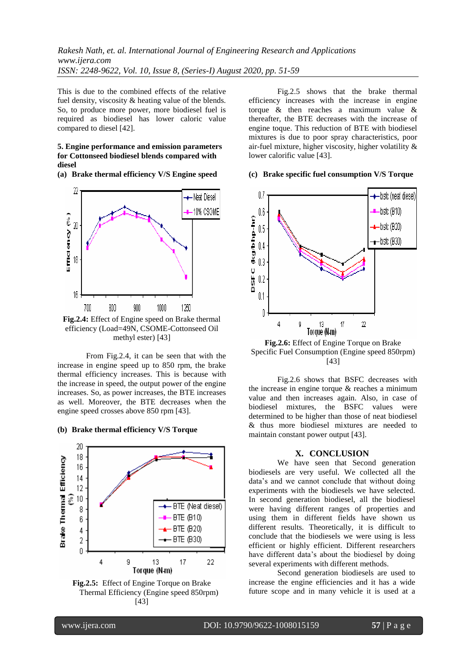This is due to the combined effects of the relative fuel density, viscosity & heating value of the blends. So, to produce more power, more biodiesel fuel is required as biodiesel has lower caloric value compared to diesel [42].

#### **5. Engine performance and emission parameters for Cottonseed biodiesel blends compared with diesel**

**(a) Brake thermal efficiency V/S Engine speed**



From Fig.2.4, it can be seen that with the increase in engine speed up to 850 rpm, the brake thermal efficiency increases. This is because with the increase in speed, the output power of the engine increases. So, as power increases, the BTE increases as well. Moreover, the BTE decreases when the engine speed crosses above 850 rpm [43].

#### **(b) Brake thermal efficiency V/S Torque**





Fig.2.5 shows that the brake thermal efficiency increases with the increase in engine torque & then reaches a maximum value & thereafter, the BTE decreases with the increase of engine toque. This reduction of BTE with biodiesel mixtures is due to poor spray characteristics, poor air-fuel mixture, higher viscosity, higher volatility & lower calorific value [43].

#### **(c) Brake specific fuel consumption V/S Torque**



**Fig.2.6:** Effect of Engine Torque on Brake Specific Fuel Consumption (Engine speed 850rpm) [43]

Fig.2.6 shows that BSFC decreases with the increase in engine torque & reaches a minimum value and then increases again. Also, in case of biodiesel mixtures, the BSFC values were determined to be higher than those of neat biodiesel & thus more biodiesel mixtures are needed to maintain constant power output [43].

#### **X. CONCLUSION**

We have seen that Second generation biodiesels are very useful. We collected all the data's and we cannot conclude that without doing experiments with the biodiesels we have selected. In second generation biodiesel, all the biodiesel were having different ranges of properties and using them in different fields have shown us different results. Theoretically, it is difficult to conclude that the biodiesels we were using is less efficient or highly efficient. Different researchers have different data's about the biodiesel by doing several experiments with different methods.

Second generation biodiesels are used to increase the engine efficiencies and it has a wide future scope and in many vehicle it is used at a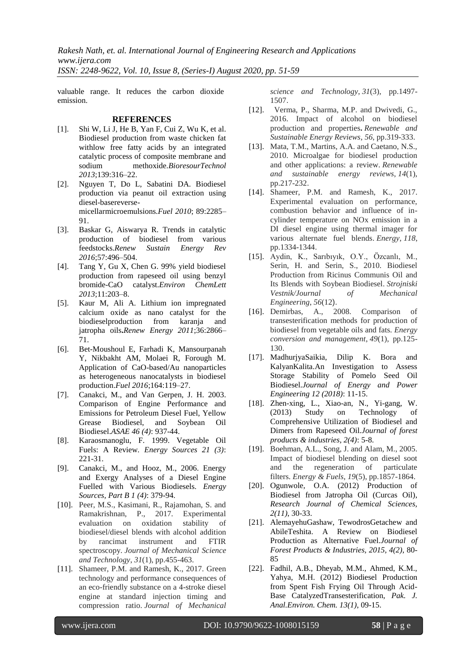valuable range. It reduces the carbon dioxide emission.

## **REFERENCES**

- [1]. Shi W, Li J, He B, Yan F, Cui Z, Wu K, et al. Biodiesel production from waste chicken fat withlow free fatty acids by an integrated catalytic process of composite membrane and sodium methoxide.*BioresourTechnol 2013*;139:316–22.
- [2]. Nguyen T, Do L, Sabatini DA. Biodiesel production via peanut oil extraction using diesel-basereversemicellarmicroemulsions.*Fuel 2010*; 89:2285– 91.
- [3]. Baskar G, Aiswarya R. Trends in catalytic production of biodiesel from various feedstocks.*Renew Sustain Energy Rev 2016*;57:496–504.
- [4]. Tang Y, Gu X, Chen G. 99% yield biodiesel production from rapeseed oil using benzyl bromide-CaO catalyst.*Environ ChemLett 2013*;11:203–8.
- [5]. Kaur M, Ali A. Lithium ion impregnated calcium oxide as nano catalyst for the biodieselproduction from karanja and jatropha oils**.***Renew Energy 2011*;36:2866– 71.
- [6]. Bet-Moushoul E, Farhadi K, Mansourpanah Y, Nikbakht AM, Molaei R, Forough M. Application of CaO-based/Au nanoparticles as heterogeneous nanocatalysts in biodiesel production.*Fuel 2016*;164:119–27.
- [7]. Canakci, M., and Van Gerpen, J. H. 2003. Comparison of Engine Performance and Emissions for Petroleum Diesel Fuel, Yellow Grease Biodiesel, and Soybean Oil Biodiesel.*ASAE 46 (4)*: 937-44.
- [8]. Karaosmanoglu, F. 1999. Vegetable Oil Fuels: A Review*. Energy Sources 21 (3)*: 221-31.
- [9]. Canakci, M., and Hooz, M., 2006. Energy and Exergy Analyses of a Diesel Engine Fuelled with Various Biodiesels. *Energy Sources, Part B 1 (4)*: 379-94.
- [10]. Peer, M.S., Kasimani, R., Rajamohan, S. and Ramakrishnan, P., 2017. Experimental evaluation on oxidation stability of biodiesel/diesel blends with alcohol addition by rancimat instrument and FTIR spectroscopy. *Journal of Mechanical Science and Technology*, *31*(1), pp.455-463.
- [11]. Shameer, P.M. and Ramesh, K., 2017. Green technology and performance consequences of an eco-friendly substance on a 4-stroke diesel engine at standard injection timing and compression ratio. *Journal of Mechanical*

*science and Technology*, *31*(3), pp.1497- 1507.

- [12].Verma, P., Sharma, M.P. and Dwivedi, G., 2016. Impact of alcohol on biodiesel production and properties**.** *Renewable and Sustainable Energy Reviews*, *56*, pp.319-333.
- [13]. Mata, T.M., Martins, A.A. and Caetano, N.S., 2010. Microalgae for biodiesel production and other applications: a review. *Renewable and sustainable energy reviews*, *14*(1), pp.217-232.
- [14]. Shameer, P.M. and Ramesh, K., 2017. Experimental evaluation on performance, combustion behavior and influence of incylinder temperature on NOx emission in a DI diesel engine using thermal imager for various alternate fuel blends. *Energy*, *118*, pp.1334-1344.
- [15]. Aydin, K., Sarıbıyık, O.Y., Özcanlı, M., Serin, H. and Serin, S., 2010. Biodiesel Production from Ricinus Communis Oil and Its Blends with Soybean Biodiesel. *Strojniski Vestnik/Journal of Mechanical Engineering*, *56*(12).
- [16]. Demirbas, A., 2008. Comparison of transesterification methods for production of biodiesel from vegetable oils and fats. *Energy conversion and management*, *49*(1), pp.125- 130.
- [17]. MadhurjyaSaikia, Dilip K. Bora and KalyanKalita.An Investigation to Assess Storage Stability of Pomelo Seed Oil Biodiesel.*Journal of Energy and Power Engineering 12 (2018)*: 11-15.
- [18]. Zhen-xing, L., Xiao-an, N., Yi-gang, W. (2013) Study on Technology of Comprehensive Utilization of Biodiesel and Dimers from Rapeseed Oil.*Journal of forest products & industries, 2(4)*: 5-8.
- [19]. Boehman, A.L., Song, J. and Alam, M., 2005. Impact of biodiesel blending on diesel soot and the regeneration of particulate filters. *Energy & Fuels*, *19*(5), pp.1857-1864.
- [20]. Ogunwole, O.A. (2012) Production of Biodiesel from Jatropha Oil (Curcas Oil), *Research Journal of Chemical Sciences, 2(11)*, 30-33.
- [21]. AlemayehuGashaw, TewodrosGetachew and AbileTeshita. A Review on Biodiesel Production as Alternative Fuel.*Journal of Forest Products & Industries, 2015, 4(2)*, 80- 85
- [22]. Fadhil, A.B., Dheyab, M.M., Ahmed, K.M., Yahya, M.H. (2012) Biodiesel Production from Spent Fish Frying Oil Through Acid-Base CatalyzedTransesterification, *Pak. J. Anal.Environ. Chem. 13(1)*, 09-15.